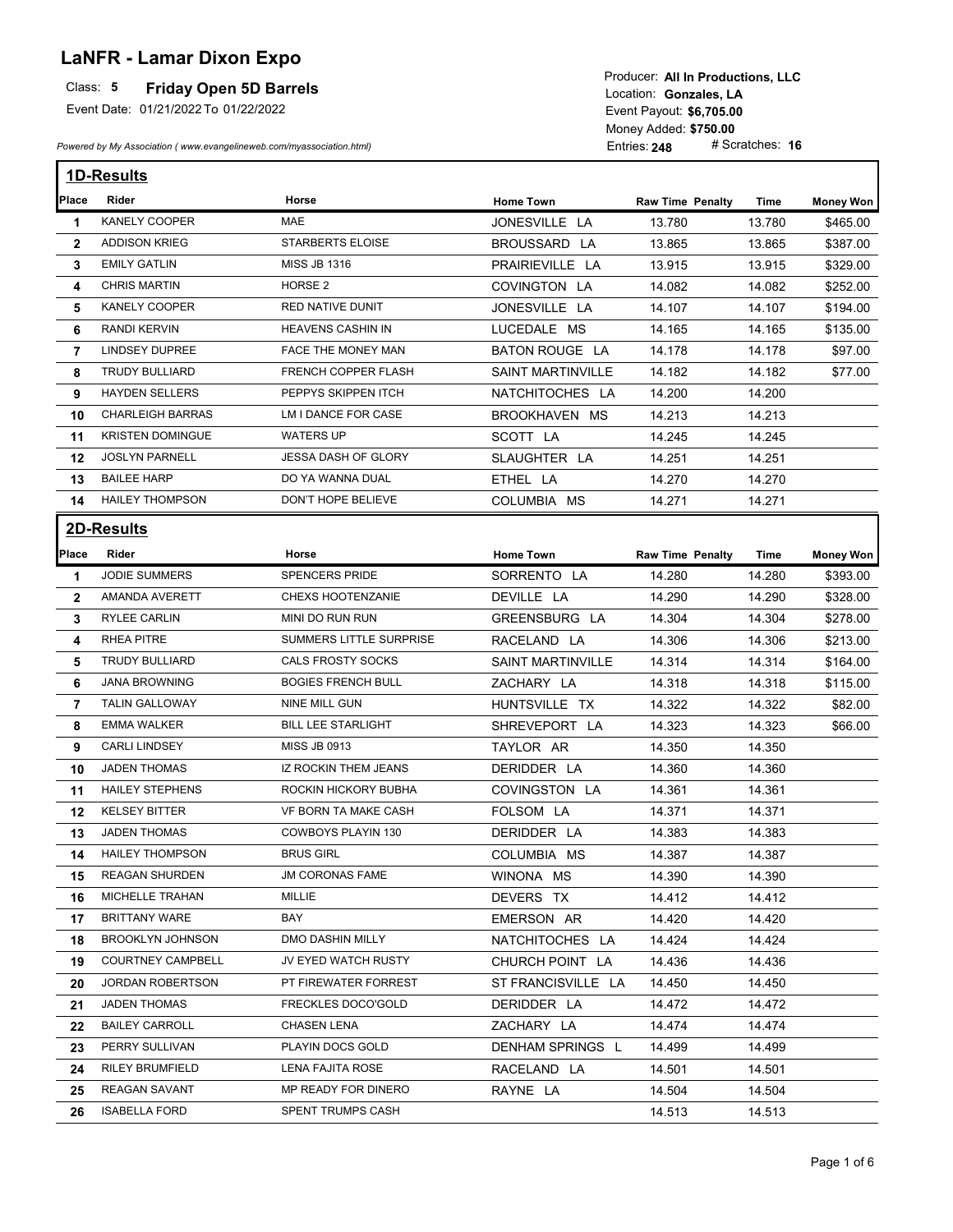## **LaNFR - Lamar Dixon Expo**

## **Friday Open 5D Barrels**

Event Date: 01/21/2022 To 01/22/2022

*Powered by My Association ( www.evangelineweb.com/myassociation.html)* 

Event Payout: \$6,705.00 Entries: **248** Money Added: **\$750.00**<br>Entries: **248** # Scratches: **16** Location: Gonzales, LA Producer: **All In Productions, LLC**

|                | <b>1D-Results</b>        |                            |                          |                         |        |                  |  |
|----------------|--------------------------|----------------------------|--------------------------|-------------------------|--------|------------------|--|
| Place          | <b>Rider</b>             | Horse                      | <b>Home Town</b>         | <b>Raw Time Penalty</b> | Time   | <b>Money Won</b> |  |
| 1              | KANELY COOPER            | <b>MAE</b>                 | JONESVILLE LA            | 13.780                  | 13.780 | \$465.00         |  |
| $\mathbf{2}$   | <b>ADDISON KRIEG</b>     | <b>STARBERTS ELOISE</b>    | BROUSSARD LA             | 13.865                  | 13.865 | \$387.00         |  |
| 3              | <b>EMILY GATLIN</b>      | <b>MISS JB 1316</b>        | PRAIRIEVILLE LA          | 13.915                  | 13.915 | \$329.00         |  |
| 4              | <b>CHRIS MARTIN</b>      | HORSE <sub>2</sub>         | COVINGTON LA             | 14.082                  | 14.082 | \$252.00         |  |
| 5              | <b>KANELY COOPER</b>     | RED NATIVE DUNIT           | JONESVILLE LA            | 14.107                  | 14.107 | \$194.00         |  |
| 6              | <b>RANDI KERVIN</b>      | HEAVENS CASHIN IN          | LUCEDALE MS              | 14.165                  | 14.165 | \$135.00         |  |
| $\overline{7}$ | <b>LINDSEY DUPREE</b>    | FACE THE MONEY MAN         | BATON ROUGE LA           | 14.178                  | 14.178 | \$97.00          |  |
| 8              | TRUDY BULLIARD           | <b>FRENCH COPPER FLASH</b> | <b>SAINT MARTINVILLE</b> | 14.182                  | 14.182 | \$77.00          |  |
| 9              | HAYDEN SELLERS           | PEPPYS SKIPPEN ITCH        | NATCHITOCHES LA          | 14.200                  | 14.200 |                  |  |
| 10             | <b>CHARLEIGH BARRAS</b>  | LM I DANCE FOR CASE        | BROOKHAVEN MS            | 14.213                  | 14.213 |                  |  |
| 11             | <b>KRISTEN DOMINGUE</b>  | <b>WATERS UP</b>           | SCOTT LA                 | 14.245                  | 14.245 |                  |  |
| 12             | <b>JOSLYN PARNELL</b>    | <b>JESSA DASH OF GLORY</b> | SLAUGHTER LA             | 14.251                  | 14.251 |                  |  |
| 13             | <b>BAILEE HARP</b>       | DO YA WANNA DUAL           | ETHEL LA                 | 14.270                  | 14.270 |                  |  |
| 14             | <b>HAILEY THOMPSON</b>   | DON'T HOPE BELIEVE         | COLUMBIA MS              | 14.271                  | 14.271 |                  |  |
|                | <b>2D-Results</b>        |                            |                          |                         |        |                  |  |
| Place          | Rider                    | Horse                      | <b>Home Town</b>         | <b>Raw Time Penalty</b> | Time   | Money Won        |  |
| 1              | <b>JODIE SUMMERS</b>     | <b>SPENCERS PRIDE</b>      | SORRENTO LA              | 14.280                  | 14.280 | \$393.00         |  |
| $\mathbf{2}$   | AMANDA AVERETT           | CHEXS HOOTENZANIE          | DEVILLE LA               | 14.290                  | 14.290 | \$328.00         |  |
| 3              | <b>RYLEE CARLIN</b>      | MINI DO RUN RUN            | GREENSBURG LA            | 14.304                  | 14.304 | \$278.00         |  |
| 4              | RHEA PITRE               | SUMMERS LITTLE SURPRISE    | RACELAND LA              | 14.306                  | 14.306 | \$213.00         |  |
| 5              | TRUDY BULLIARD           | CALS FROSTY SOCKS          | SAINT MARTINVILLE        | 14.314                  | 14.314 | \$164.00         |  |
| 6              | <b>JANA BROWNING</b>     | <b>BOGIES FRENCH BULL</b>  | ZACHARY LA               | 14.318                  | 14.318 | \$115.00         |  |
| $\overline{7}$ | <b>TALIN GALLOWAY</b>    | NINE MILL GUN              | HUNTSVILLE TX            | 14.322                  | 14.322 | \$82.00          |  |
| 8              | <b>EMMA WALKER</b>       | <b>BILL LEE STARLIGHT</b>  | SHREVEPORT LA            | 14.323                  | 14.323 | \$66.00          |  |
| 9              | <b>CARLI LINDSEY</b>     | <b>MISS JB 0913</b>        | TAYLOR AR                | 14.350                  | 14.350 |                  |  |
| 10             | <b>JADEN THOMAS</b>      | IZ ROCKIN THEM JEANS       | DERIDDER LA              | 14.360                  | 14.360 |                  |  |
| 11             | <b>HAILEY STEPHENS</b>   | ROCKIN HICKORY BUBHA       | COVINGSTON LA            | 14.361                  | 14.361 |                  |  |
| 12             | <b>KELSEY BITTER</b>     | VF BORN TA MAKE CASH       | FOLSOM LA                | 14.371                  | 14.371 |                  |  |
| 13             | <b>JADEN THOMAS</b>      | COWBOYS PLAYIN 130         | DERIDDER LA              | 14.383                  | 14.383 |                  |  |
| 14             | <b>HAILEY THOMPSON</b>   | <b>BRUS GIRL</b>           | COLUMBIA MS              | 14.387                  | 14.387 |                  |  |
| 15             | <b>REAGAN SHURDEN</b>    | JM CORONAS FAME            | WINONA MS                | 14.390                  | 14.390 |                  |  |
| 16             | MICHELLE TRAHAN          | MILLIE                     | DEVERS TX                | 14.412                  | 14.412 |                  |  |
| 17             | BRITTANY WARE            | BAY                        | EMERSON AR               | 14.420                  | 14.420 |                  |  |
| 18             | <b>BROOKLYN JOHNSON</b>  | DMO DASHIN MILLY           | NATCHITOCHES LA          | 14.424                  | 14.424 |                  |  |
| 19             | <b>COURTNEY CAMPBELL</b> | JV EYED WATCH RUSTY        | CHURCH POINT LA          | 14.436                  | 14.436 |                  |  |
| 20             | JORDAN ROBERTSON         | PT FIREWATER FORREST       | ST FRANCISVILLE LA       | 14.450                  | 14.450 |                  |  |
| 21             | JADEN THOMAS             | FRECKLES DOCO'GOLD         | DERIDDER LA              | 14.472                  | 14.472 |                  |  |
| 22             | <b>BAILEY CARROLL</b>    | CHASEN LENA                | ZACHARY LA               | 14.474                  | 14.474 |                  |  |
| 23             | PERRY SULLIVAN           | PLAYIN DOCS GOLD           | DENHAM SPRINGS L         | 14.499                  | 14.499 |                  |  |
| 24             | RILEY BRUMFIELD          | LENA FAJITA ROSE           | RACELAND LA              | 14.501                  | 14.501 |                  |  |
| 25             | REAGAN SAVANT            | MP READY FOR DINERO        | RAYNE LA                 | 14.504                  | 14.504 |                  |  |
| 26             | <b>ISABELLA FORD</b>     | SPENT TRUMPS CASH          |                          | 14.513                  | 14.513 |                  |  |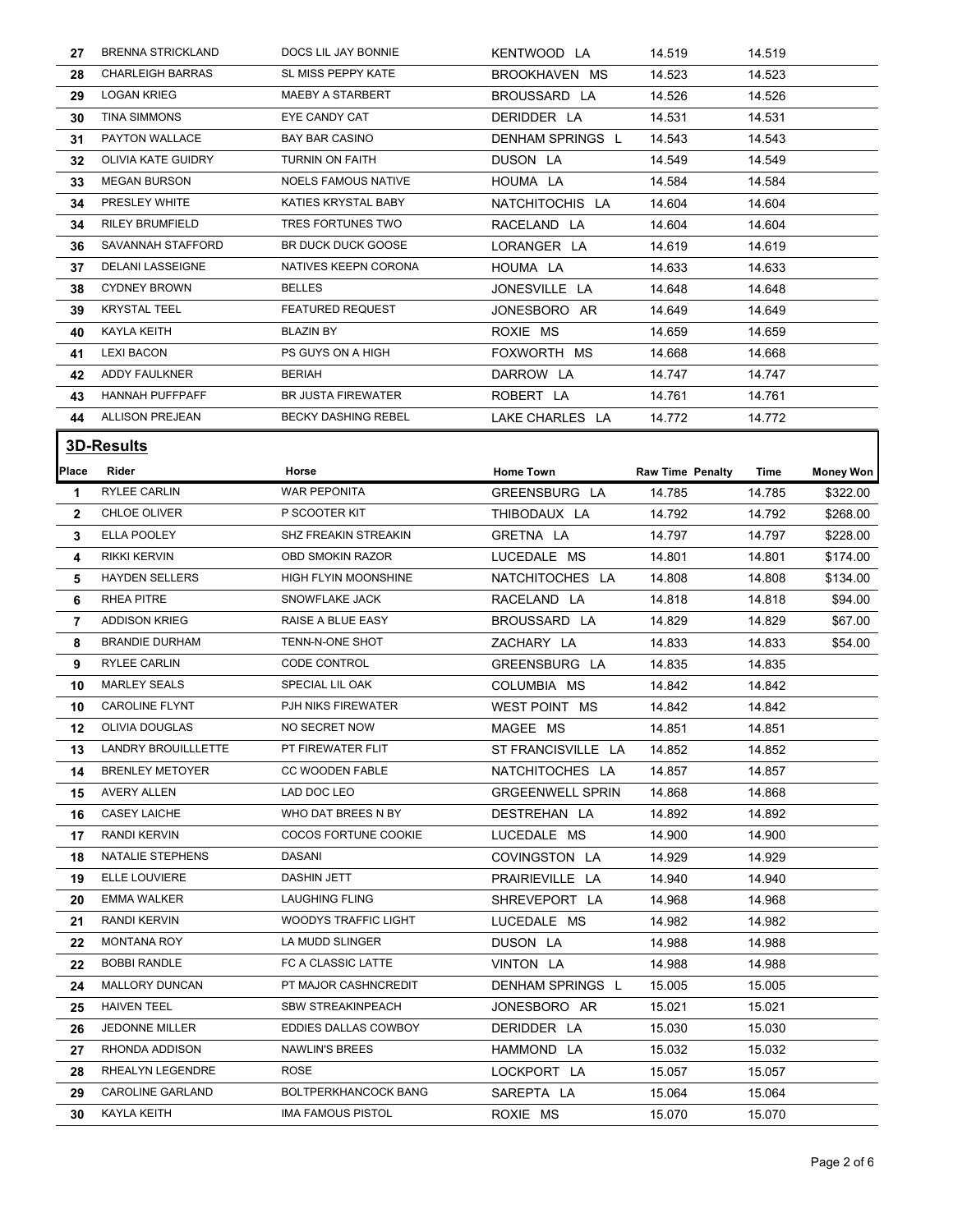| 27             | <b>BRENNA STRICKLAND</b> | DOCS LIL JAY BONNIE         | KENTWOOD LA             | 14.519                  | 14.519 |                  |
|----------------|--------------------------|-----------------------------|-------------------------|-------------------------|--------|------------------|
| 28             | <b>CHARLEIGH BARRAS</b>  | SL MISS PEPPY KATE          | BROOKHAVEN MS           | 14.523                  | 14.523 |                  |
| 29             | <b>LOGAN KRIEG</b>       | MAEBY A STARBERT            | BROUSSARD LA            | 14.526                  | 14.526 |                  |
| 30             | <b>TINA SIMMONS</b>      | EYE CANDY CAT               | DERIDDER LA             | 14.531                  | 14.531 |                  |
| 31             | PAYTON WALLACE           | <b>BAY BAR CASINO</b>       | DENHAM SPRINGS L        | 14.543                  | 14.543 |                  |
| 32             | OLIVIA KATE GUIDRY       | TURNIN ON FAITH             | DUSON LA                | 14.549                  | 14.549 |                  |
| 33             | <b>MEGAN BURSON</b>      | <b>NOELS FAMOUS NATIVE</b>  | HOUMA LA                | 14.584                  | 14.584 |                  |
| 34             | PRESLEY WHITE            | KATIES KRYSTAL BABY         | NATCHITOCHIS LA         | 14.604                  | 14.604 |                  |
| 34             | <b>RILEY BRUMFIELD</b>   | TRES FORTUNES TWO           | RACELAND LA             | 14.604                  | 14.604 |                  |
| 36             | SAVANNAH STAFFORD        | <b>BR DUCK DUCK GOOSE</b>   | LORANGER LA             | 14.619                  | 14.619 |                  |
| 37             | <b>DELANI LASSEIGNE</b>  | NATIVES KEEPN CORONA        | HOUMA LA                | 14.633                  | 14.633 |                  |
| 38             | <b>CYDNEY BROWN</b>      | <b>BELLES</b>               | JONESVILLE LA           | 14.648                  | 14.648 |                  |
| 39             | <b>KRYSTAL TEEL</b>      | <b>FEATURED REQUEST</b>     | JONESBORO AR            | 14.649                  | 14.649 |                  |
| 40             | <b>KAYLA KEITH</b>       | <b>BLAZIN BY</b>            | ROXIE MS                | 14.659                  | 14.659 |                  |
| 41             | <b>LEXI BACON</b>        | PS GUYS ON A HIGH           | FOXWORTH MS             | 14.668                  | 14.668 |                  |
| 42             | ADDY FAULKNER            | <b>BERIAH</b>               | DARROW LA               | 14.747                  | 14.747 |                  |
| 43             | HANNAH PUFFPAFF          | <b>BR JUSTA FIREWATER</b>   | ROBERT LA               | 14.761                  | 14.761 |                  |
| 44             | <b>ALLISON PREJEAN</b>   | <b>BECKY DASHING REBEL</b>  | LAKE CHARLES LA         | 14.772                  | 14.772 |                  |
|                | <b>3D-Results</b>        |                             |                         |                         |        |                  |
|                |                          |                             |                         |                         |        |                  |
| Place          | Rider                    | Horse                       | <b>Home Town</b>        | <b>Raw Time Penalty</b> | Time   | <b>Money Won</b> |
| 1              | <b>RYLEE CARLIN</b>      | <b>WAR PEPONITA</b>         | GREENSBURG LA           | 14.785                  | 14.785 | \$322.00         |
| $\mathbf{2}$   | <b>CHLOE OLIVER</b>      | P SCOOTER KIT               | THIBODAUX LA            | 14.792                  | 14.792 | \$268.00         |
| 3              | ELLA POOLEY              | SHZ FREAKIN STREAKIN        | GRETNA LA               | 14.797                  | 14.797 | \$228.00         |
| 4              | <b>RIKKI KERVIN</b>      | <b>OBD SMOKIN RAZOR</b>     | LUCEDALE MS             | 14.801                  | 14.801 | \$174.00         |
| 5              | <b>HAYDEN SELLERS</b>    | HIGH FLYIN MOONSHINE        | NATCHITOCHES LA         | 14.808                  | 14.808 | \$134.00         |
| 6              | RHEA PITRE               | SNOWFLAKE JACK              | RACELAND LA             | 14.818                  | 14.818 | \$94.00          |
| $\overline{7}$ | <b>ADDISON KRIEG</b>     | RAISE A BLUE EASY           | BROUSSARD LA            | 14.829                  | 14.829 | \$67.00          |
| 8              | <b>BRANDIE DURHAM</b>    | TENN-N-ONE SHOT             | ZACHARY LA              | 14.833                  | 14.833 | \$54.00          |
| 9              | RYLEE CARLIN             | CODE CONTROL                | GREENSBURG LA           | 14.835                  | 14.835 |                  |
| 10             | <b>MARLEY SEALS</b>      | SPECIAL LIL OAK             | COLUMBIA MS             | 14.842                  | 14.842 |                  |
| 10             | <b>CAROLINE FLYNT</b>    | PJH NIKS FIREWATER          | WEST POINT MS           | 14.842                  | 14.842 |                  |
| 12             | OLIVIA DOUGLAS           | NO SECRET NOW               | MAGEE MS                | 14.851                  | 14.851 |                  |
| 13             | LANDRY BROUILLLETTE      | PT FIREWATER FLIT           | ST FRANCISVILLE LA      | 14.852                  | 14.852 |                  |
| 14             | <b>BRENLEY METOYER</b>   | CC WOODEN FABLE             | NATCHITOCHES LA         | 14.857                  | 14.857 |                  |
| 15             | <b>AVERY ALLEN</b>       | LAD DOC LEO                 | <b>GRGEENWELL SPRIN</b> | 14.868                  | 14.868 |                  |
| 16             | <b>CASEY LAICHE</b>      | WHO DAT BREES N BY          | DESTREHAN LA            | 14.892                  | 14.892 |                  |
| 17             | <b>RANDI KERVIN</b>      | COCOS FORTUNE COOKIE        | LUCEDALE MS             | 14.900                  | 14.900 |                  |
| 18             | NATALIE STEPHENS         | DASANI                      | COVINGSTON LA           | 14.929                  | 14.929 |                  |
| 19             | ELLE LOUVIERE            | DASHIN JETT                 | PRAIRIEVILLE LA         | 14.940                  | 14.940 |                  |
| 20             | <b>EMMA WALKER</b>       | <b>LAUGHING FLING</b>       | SHREVEPORT LA           | 14.968                  | 14.968 |                  |
| 21             | <b>RANDI KERVIN</b>      | <b>WOODYS TRAFFIC LIGHT</b> | LUCEDALE MS             | 14.982                  | 14.982 |                  |
| 22             | <b>MONTANA ROY</b>       | LA MUDD SLINGER             | DUSON LA                | 14.988                  | 14.988 |                  |
| 22             | <b>BOBBI RANDLE</b>      | FC A CLASSIC LATTE          | VINTON LA               | 14.988                  | 14.988 |                  |
| 24             | MALLORY DUNCAN           | PT MAJOR CASHNCREDIT        | DENHAM SPRINGS L        | 15.005                  | 15.005 |                  |
| 25             | <b>HAIVEN TEEL</b>       | <b>SBW STREAKINPEACH</b>    | JONESBORO AR            | 15.021                  | 15.021 |                  |
| 26             | JEDONNE MILLER           | EDDIES DALLAS COWBOY        | DERIDDER LA             | 15.030                  | 15.030 |                  |
| 27             |                          |                             |                         |                         |        |                  |
|                | RHONDA ADDISON           | NAWLIN'S BREES              | HAMMOND LA              | 15.032                  | 15.032 |                  |
| 28             | RHEALYN LEGENDRE         | ROSE                        | LOCKPORT LA             | 15.057                  | 15.057 |                  |
| 29             | CAROLINE GARLAND         | <b>BOLTPERKHANCOCK BANG</b> | SAREPTA LA              | 15.064                  | 15.064 |                  |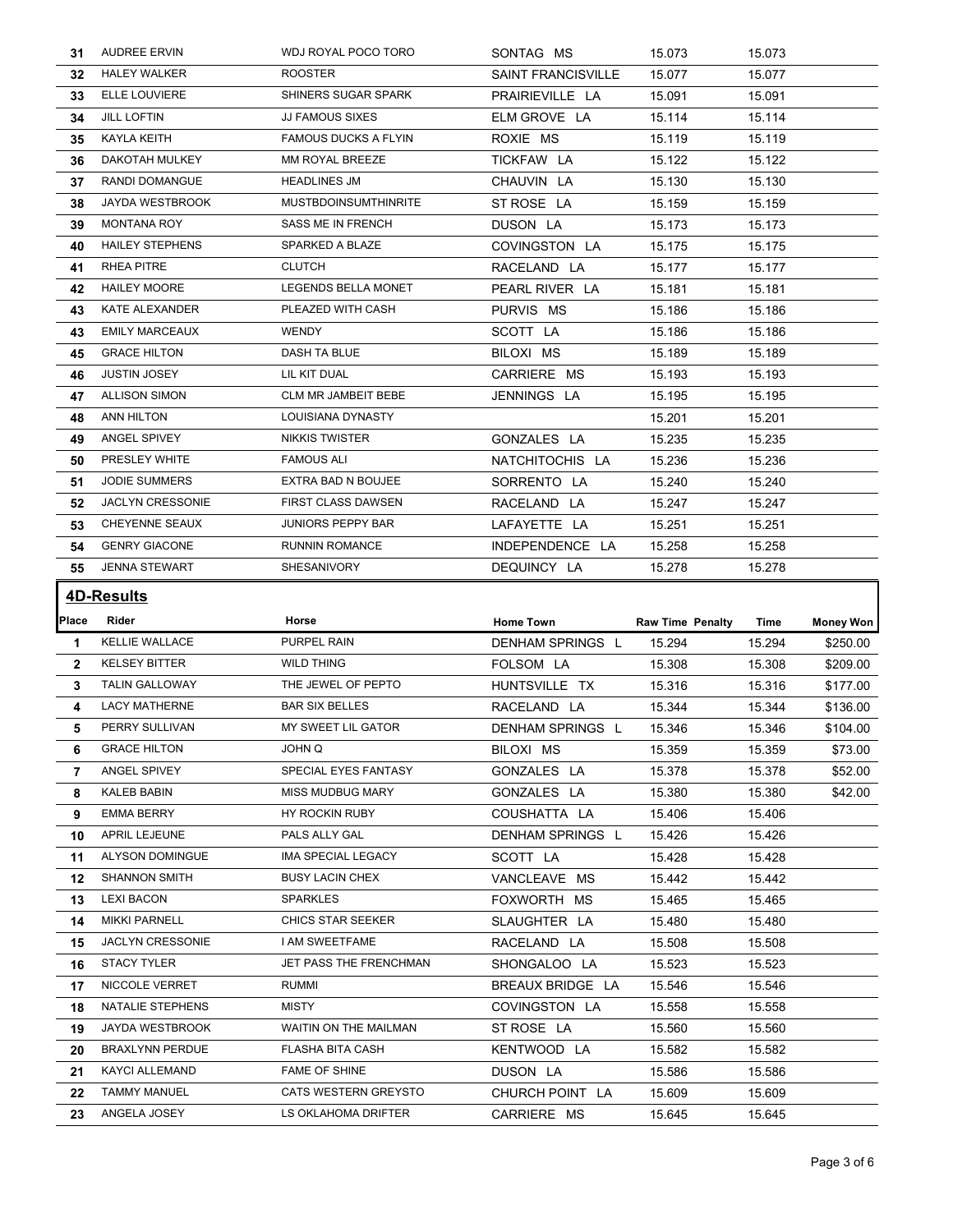| 31           | <b>AUDREE ERVIN</b>     | WDJ ROYAL POCO TORO         | SONTAG MS                 | 15.073                  | 15.073 |           |
|--------------|-------------------------|-----------------------------|---------------------------|-------------------------|--------|-----------|
| 32           | <b>HALEY WALKER</b>     | <b>ROOSTER</b>              | <b>SAINT FRANCISVILLE</b> | 15.077                  | 15.077 |           |
| 33           | ELLE LOUVIERE           | SHINERS SUGAR SPARK         | PRAIRIEVILLE LA           | 15.091                  | 15.091 |           |
| 34           | <b>JILL LOFTIN</b>      | <b>JJ FAMOUS SIXES</b>      | ELM GROVE LA              | 15.114                  | 15.114 |           |
| 35           | <b>KAYLA KEITH</b>      | <b>FAMOUS DUCKS A FLYIN</b> | ROXIE MS                  | 15.119                  | 15.119 |           |
| 36           | DAKOTAH MULKEY          | MM ROYAL BREEZE             | TICKFAW LA                | 15.122                  | 15.122 |           |
| 37           | RANDI DOMANGUE          | <b>HEADLINES JM</b>         | CHAUVIN LA                | 15.130                  | 15.130 |           |
| 38           | JAYDA WESTBROOK         | <b>MUSTBDOINSUMTHINRITE</b> | ST ROSE LA                | 15.159                  | 15.159 |           |
| 39           | <b>MONTANA ROY</b>      | SASS ME IN FRENCH           | DUSON LA                  | 15.173                  | 15.173 |           |
| 40           | <b>HAILEY STEPHENS</b>  | SPARKED A BLAZE             | COVINGSTON LA             | 15.175                  | 15.175 |           |
| 41           | RHEA PITRE              | <b>CLUTCH</b>               | RACELAND LA               | 15.177                  | 15.177 |           |
| 42           | <b>HAILEY MOORE</b>     | LEGENDS BELLA MONET         | PEARL RIVER LA            | 15.181                  | 15.181 |           |
| 43           | KATE ALEXANDER          | PLEAZED WITH CASH           | PURVIS MS                 | 15.186                  | 15.186 |           |
| 43           | <b>EMILY MARCEAUX</b>   | <b>WENDY</b>                | SCOTT LA                  | 15.186                  | 15.186 |           |
| 45           | <b>GRACE HILTON</b>     | DASH TA BLUE                | BILOXI MS                 | 15.189                  | 15.189 |           |
| 46           | <b>JUSTIN JOSEY</b>     | LIL KIT DUAL                | CARRIERE MS               | 15.193                  | 15.193 |           |
| 47           | <b>ALLISON SIMON</b>    | CLM MR JAMBEIT BEBE         | JENNINGS LA               | 15.195                  | 15.195 |           |
| 48           | ANN HILTON              | LOUISIANA DYNASTY           |                           | 15.201                  | 15.201 |           |
| 49           | ANGEL SPIVEY            | <b>NIKKIS TWISTER</b>       | GONZALES LA               | 15.235                  | 15.235 |           |
| 50           | PRESLEY WHITE           | <b>FAMOUS ALI</b>           | NATCHITOCHIS LA           | 15.236                  | 15.236 |           |
| 51           | <b>JODIE SUMMERS</b>    | EXTRA BAD N BOUJEE          | SORRENTO LA               | 15.240                  | 15.240 |           |
| 52           | <b>JACLYN CRESSONIE</b> | <b>FIRST CLASS DAWSEN</b>   | RACELAND LA               | 15.247                  | 15.247 |           |
| 53           | CHEYENNE SEAUX          | <b>JUNIORS PEPPY BAR</b>    | LAFAYETTE LA              | 15.251                  | 15.251 |           |
| 54           | <b>GENRY GIACONE</b>    | <b>RUNNIN ROMANCE</b>       | INDEPENDENCE LA           | 15.258                  | 15.258 |           |
| 55           | <b>JENNA STEWART</b>    | SHESANIVORY                 | DEQUINCY LA               | 15.278                  | 15.278 |           |
|              |                         |                             |                           |                         |        |           |
|              |                         |                             |                           |                         |        |           |
|              | <b>4D-Results</b>       |                             |                           |                         |        |           |
| Place        | Rider                   | Horse                       | <b>Home Town</b>          | <b>Raw Time Penalty</b> | Time   | Money Won |
| 1            | <b>KELLIE WALLACE</b>   | PURPEL RAIN                 | DENHAM SPRINGS L          | 15.294                  | 15.294 | \$250.00  |
| $\mathbf{2}$ | <b>KELSEY BITTER</b>    | <b>WILD THING</b>           | FOLSOM LA                 | 15.308                  | 15.308 | \$209.00  |
| 3            | TALIN GALLOWAY          | THE JEWEL OF PEPTO          | HUNTSVILLE TX             | 15.316                  | 15.316 | \$177.00  |
| 4            | <b>LACY MATHERNE</b>    | <b>BAR SIX BELLES</b>       | RACELAND LA               | 15.344                  | 15.344 | \$136.00  |
| 5            | PERRY SULLIVAN          | MY SWEET LIL GATOR          | DENHAM SPRINGS L          | 15.346                  | 15.346 | \$104.00  |
| 6            | <b>GRACE HILTON</b>     | JOHN Q                      | BILOXI MS                 | 15.359                  | 15.359 | \$73.00   |
| 7            | ANGEL SPIVEY            | SPECIAL EYES FANTASY        | GONZALES LA               | 15.378                  | 15.378 | \$52.00   |
| 8            | KALEB BABIN             | <b>MISS MUDBUG MARY</b>     | GONZALES LA               | 15.380                  | 15.380 | \$42.00   |
| 9            | EMMA BERRY              | HY ROCKIN RUBY              | COUSHATTA LA              | 15.406                  | 15.406 |           |
| 10           | APRIL LEJEUNE           | PALS ALLY GAL               | DENHAM SPRINGS L          | 15.426                  | 15.426 |           |
| 11           | ALYSON DOMINGUE         | IMA SPECIAL LEGACY          | SCOTT LA                  | 15.428                  | 15.428 |           |
| 12           | <b>SHANNON SMITH</b>    | <b>BUSY LACIN CHEX</b>      | VANCLEAVE MS              | 15.442                  | 15.442 |           |
| 13           | <b>LEXI BACON</b>       | <b>SPARKLES</b>             | FOXWORTH MS               | 15.465                  | 15.465 |           |
| 14           | <b>MIKKI PARNELL</b>    | <b>CHICS STAR SEEKER</b>    | SLAUGHTER LA              | 15.480                  | 15.480 |           |
| 15           | <b>JACLYN CRESSONIE</b> | I AM SWEETFAME              | RACELAND LA               | 15.508                  | 15.508 |           |
| 16           | <b>STACY TYLER</b>      | JET PASS THE FRENCHMAN      | SHONGALOO LA              | 15.523                  | 15.523 |           |
| 17           | NICCOLE VERRET          | <b>RUMMI</b>                | BREAUX BRIDGE LA          | 15.546                  | 15.546 |           |
| 18           | NATALIE STEPHENS        | <b>MISTY</b>                | COVINGSTON LA             | 15.558                  | 15.558 |           |
| 19           | JAYDA WESTBROOK         | WAITIN ON THE MAILMAN       | ST ROSE LA                | 15.560                  | 15.560 |           |
| 20           | <b>BRAXLYNN PERDUE</b>  | FLASHA BITA CASH            | KENTWOOD LA               | 15.582                  | 15.582 |           |
| 21           | KAYCI ALLEMAND          | <b>FAME OF SHINE</b>        | DUSON LA                  | 15.586                  | 15.586 |           |
| 22           | TAMMY MANUEL            | CATS WESTERN GREYSTO        | CHURCH POINT LA           | 15.609                  | 15.609 |           |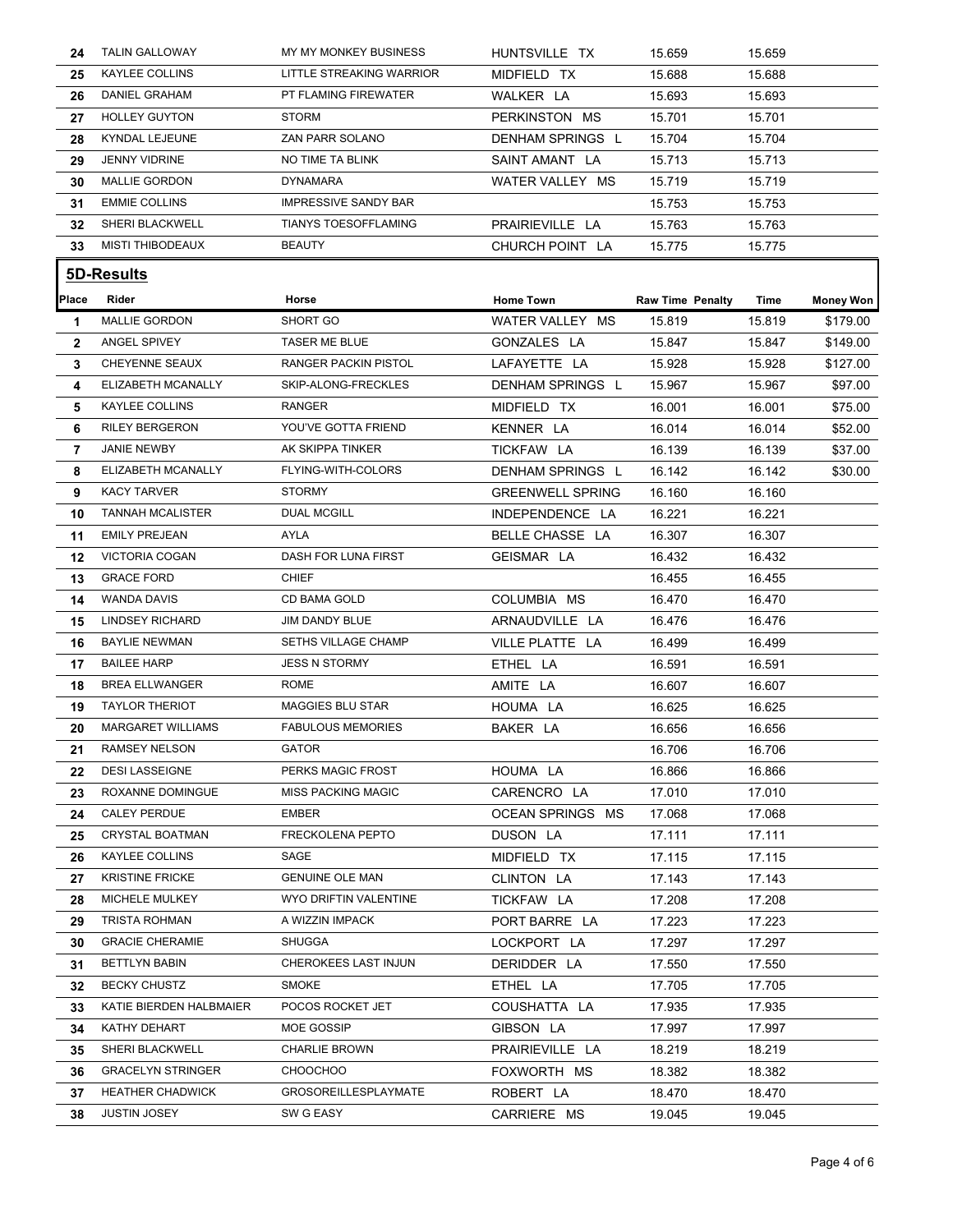| 24             | <b>TALIN GALLOWAY</b>                         | MY MY MONKEY BUSINESS                     | HUNTSVILLE TX           | 15.659                  | 15.659           |                  |
|----------------|-----------------------------------------------|-------------------------------------------|-------------------------|-------------------------|------------------|------------------|
| 25             | KAYLEE COLLINS                                | LITTLE STREAKING WARRIOR                  | MIDFIELD TX             | 15.688                  | 15.688           |                  |
| 26             | <b>DANIEL GRAHAM</b>                          | PT FLAMING FIREWATER                      | WALKER LA               | 15.693                  | 15.693           |                  |
| 27             | <b>HOLLEY GUYTON</b>                          | <b>STORM</b>                              | PERKINSTON MS           | 15.701                  | 15.701           |                  |
| 28             | KYNDAL LEJEUNE                                | ZAN PARR SOLANO                           | <b>DENHAM SPRINGS L</b> | 15.704                  | 15.704           |                  |
| 29             | <b>JENNY VIDRINE</b>                          | NO TIME TA BLINK                          | SAINT AMANT LA          | 15.713                  | 15.713           |                  |
| 30             | <b>MALLIE GORDON</b>                          | <b>DYNAMARA</b>                           | WATER VALLEY MS         | 15.719                  | 15.719           |                  |
| 31             | <b>EMMIE COLLINS</b>                          | IMPRESSIVE SANDY BAR                      |                         | 15.753                  | 15.753           |                  |
| 32             | SHERI BLACKWELL                               | <b>TIANYS TOESOFFLAMING</b>               | PRAIRIEVILLE LA         | 15.763                  | 15.763           |                  |
| 33             | <b>MISTI THIBODEAUX</b>                       | <b>BEAUTY</b>                             | CHURCH POINT LA         | 15.775                  | 15.775           |                  |
|                | <u>5D-Results</u>                             |                                           |                         |                         |                  |                  |
|                |                                               |                                           |                         |                         |                  |                  |
| Place          | Rider<br><b>MALLIE GORDON</b>                 | Horse<br>SHORT GO                         | <b>Home Town</b>        | <b>Raw Time Penalty</b> | Time             | <b>Money Won</b> |
| 1              |                                               |                                           | WATER VALLEY MS         | 15.819                  | 15.819           | \$179.00         |
| $\mathbf{2}$   | ANGEL SPIVEY                                  | TASER ME BLUE                             | GONZALES LA             | 15.847                  | 15.847           | \$149.00         |
| 3              | CHEYENNE SEAUX                                | RANGER PACKIN PISTOL                      | LAFAYETTE LA            | 15.928                  | 15.928           | \$127.00         |
| 4              | ELIZABETH MCANALLY                            | SKIP-ALONG-FRECKLES<br><b>RANGER</b>      | DENHAM SPRINGS L        | 15.967                  | 15.967           | \$97.00          |
| 5              | <b>KAYLEE COLLINS</b>                         | YOU'VE GOTTA FRIEND                       | MIDFIELD TX             | 16.001                  | 16.001           | \$75.00          |
| 6              | <b>RILEY BERGERON</b>                         |                                           | KENNER LA               | 16.014                  | 16.014           | \$52.00          |
| $\overline{7}$ | <b>JANIE NEWBY</b>                            | AK SKIPPA TINKER                          | TICKFAW LA              | 16.139                  | 16.139           | \$37.00          |
| 8              | ELIZABETH MCANALLY                            | FLYING-WITH-COLORS                        | DENHAM SPRINGS L        | 16.142                  | 16.142           | \$30.00          |
| 9              | <b>KACY TARVER</b>                            | <b>STORMY</b>                             | <b>GREENWELL SPRING</b> | 16.160                  | 16.160           |                  |
| 10             | <b>TANNAH MCALISTER</b>                       | <b>DUAL MCGILL</b>                        | INDEPENDENCE LA         | 16.221                  | 16.221           |                  |
| 11             | <b>EMILY PREJEAN</b>                          | AYLA                                      | BELLE CHASSE LA         | 16.307                  | 16.307           |                  |
| 12             | <b>VICTORIA COGAN</b>                         | DASH FOR LUNA FIRST                       | GEISMAR LA              | 16.432                  | 16.432           |                  |
| 13             | <b>GRACE FORD</b>                             | CHIEF                                     |                         | 16.455                  | 16.455           |                  |
| 14             | <b>WANDA DAVIS</b>                            | CD BAMA GOLD                              | COLUMBIA MS             | 16.470                  | 16.470           |                  |
| 15             | <b>LINDSEY RICHARD</b>                        | JIM DANDY BLUE                            | ARNAUDVILLE LA          | 16.476                  | 16.476           |                  |
| 16             | <b>BAYLIE NEWMAN</b>                          | <b>SETHS VILLAGE CHAMP</b>                | VILLE PLATTE LA         | 16.499                  | 16.499           |                  |
| 17             | <b>BAILEE HARP</b>                            | JESS N STORMY                             | ETHEL LA                | 16.591                  | 16.591           |                  |
| 18             | <b>BREA ELLWANGER</b>                         | <b>ROME</b>                               | AMITE LA                | 16.607                  | 16.607           |                  |
| 19             | <b>TAYLOR THERIOT</b>                         | <b>MAGGIES BLU STAR</b>                   | HOUMA LA                | 16.625                  | 16.625           |                  |
| 20             | <b>MARGARET WILLIAMS</b>                      | <b>FABULOUS MEMORIES</b>                  | BAKER LA                | 16.656                  | 16.656           |                  |
| 21             | <b>RAMSEY NELSON</b>                          | <b>GATOR</b>                              |                         | 16.706                  | 16.706           |                  |
| 22             | <b>DESI LASSEIGNE</b>                         | PERKS MAGIC FROST                         | HOUMA LA                | 16.866                  | 16.866           |                  |
| 23             | ROXANNE DOMINGUE                              | <b>MISS PACKING MAGIC</b><br><b>EMBER</b> | CARENCRO LA             | 17.010                  | 17.010           |                  |
| 24             | <b>CALEY PERDUE</b><br><b>CRYSTAL BOATMAN</b> | FRECKOLENA PEPTO                          | OCEAN SPRINGS MS        | 17.068                  | 17.068           |                  |
| 25             | <b>KAYLEE COLLINS</b>                         | SAGE                                      | DUSON LA<br>MIDFIELD TX | 17.111<br>17.115        | 17.111           |                  |
| 26<br>27       | <b>KRISTINE FRICKE</b>                        | <b>GENUINE OLE MAN</b>                    | CLINTON LA              | 17.143                  | 17.115<br>17.143 |                  |
|                | MICHELE MULKEY                                | WYO DRIFTIN VALENTINE                     | TICKFAW LA              | 17.208                  | 17.208           |                  |
| 28             |                                               |                                           |                         |                         |                  |                  |
| 29             | <b>TRISTA ROHMAN</b>                          | A WIZZIN IMPACK                           | PORT BARRE LA           | 17.223                  | 17.223           |                  |
| 30             | <b>GRACIE CHERAMIE</b>                        | SHUGGA                                    | LOCKPORT LA             | 17.297                  | 17.297           |                  |
| 31             | <b>BETTLYN BABIN</b>                          | CHEROKEES LAST INJUN                      | DERIDDER LA             | 17.550                  | 17.550           |                  |
| 32             | <b>BECKY CHUSTZ</b>                           | <b>SMOKE</b><br>POCOS ROCKET JET          | ETHEL LA                | 17.705                  | 17.705           |                  |
| 33             | KATIE BIERDEN HALBMAIER                       |                                           | COUSHATTA LA            | 17.935                  | 17.935           |                  |
| 34             | KATHY DEHART                                  | MOE GOSSIP                                | GIBSON LA               | 17.997                  | 17.997           |                  |
| 35             | SHERI BLACKWELL                               | <b>CHARLIE BROWN</b>                      | PRAIRIEVILLE LA         | 18.219                  | 18.219           |                  |
| 36             | <b>GRACELYN STRINGER</b>                      | <b>CHOOCHOO</b>                           | FOXWORTH MS             | 18.382                  | 18.382           |                  |
| 37             | <b>HEATHER CHADWICK</b>                       | <b>GROSOREILLESPLAYMATE</b>               | ROBERT LA               | 18.470                  | 18.470           |                  |
| 38             | <b>JUSTIN JOSEY</b>                           | SW G EASY                                 | CARRIERE MS             | 19.045                  | 19.045           |                  |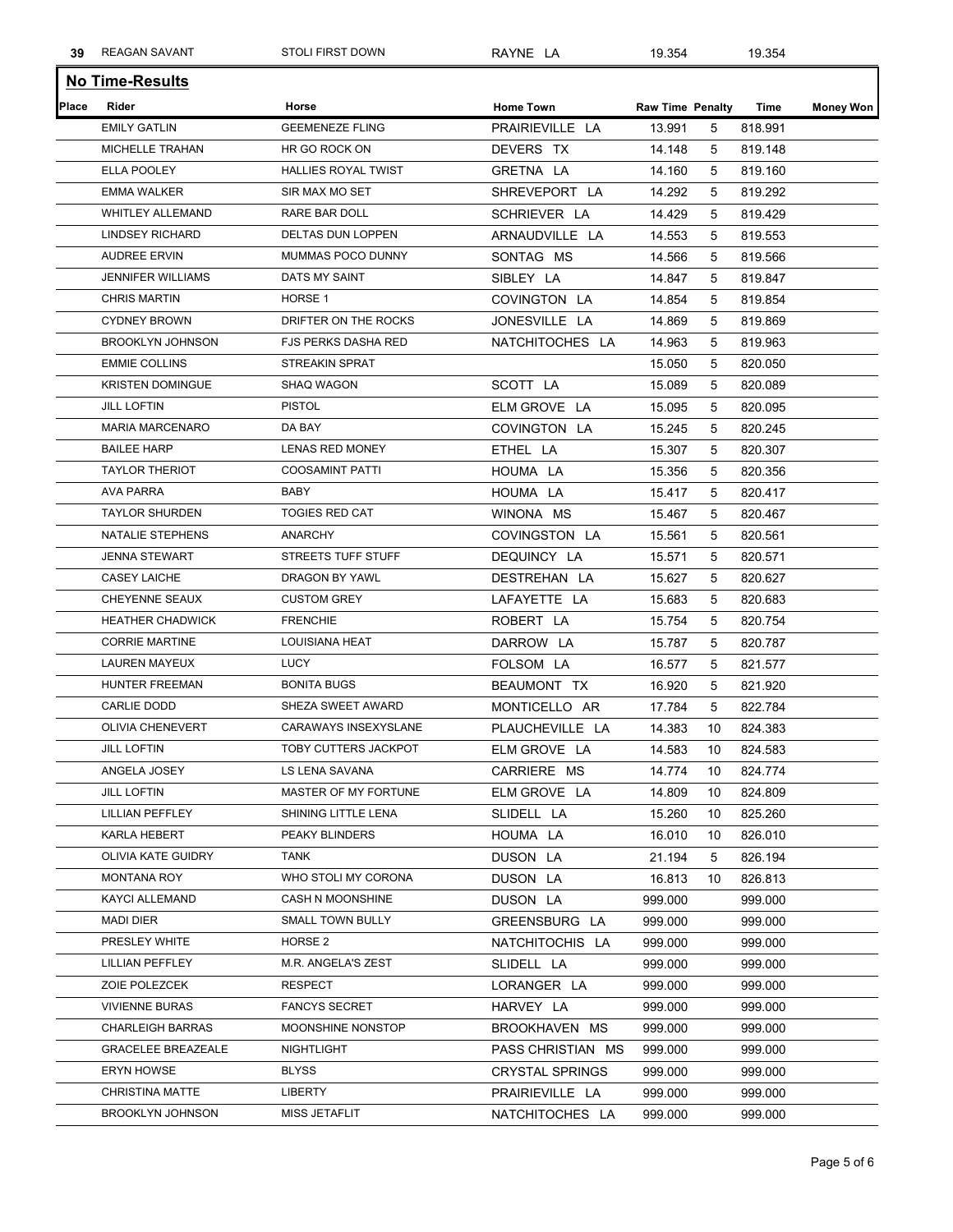| 39    | <b>REAGAN SAVANT</b>      | <b>STOLI FIRST DOWN</b>    | RAYNE LA               | 19.354                  |    | 19.354  |                  |
|-------|---------------------------|----------------------------|------------------------|-------------------------|----|---------|------------------|
|       | <b>No Time-Results</b>    |                            |                        |                         |    |         |                  |
| Place | Rider                     | Horse                      | <b>Home Town</b>       | <b>Raw Time Penalty</b> |    | Time    | <b>Money Won</b> |
|       | <b>EMILY GATLIN</b>       | <b>GEEMENEZE FLING</b>     | PRAIRIEVILLE LA        | 13.991                  | 5  | 818.991 |                  |
|       | MICHELLE TRAHAN           | HR GO ROCK ON              | DEVERS TX              | 14.148                  | 5  | 819.148 |                  |
|       | ELLA POOLEY               | HALLIES ROYAL TWIST        | GRETNA LA              | 14.160                  | 5  | 819.160 |                  |
|       | <b>EMMA WALKER</b>        | SIR MAX MO SET             | SHREVEPORT LA          | 14.292                  | 5  | 819.292 |                  |
|       | <b>WHITLEY ALLEMAND</b>   | RARE BAR DOLL              | SCHRIEVER LA           | 14.429                  | 5  | 819.429 |                  |
|       | <b>LINDSEY RICHARD</b>    | <b>DELTAS DUN LOPPEN</b>   | ARNAUDVILLE LA         | 14.553                  | 5  | 819.553 |                  |
|       | <b>AUDREE ERVIN</b>       | MUMMAS POCO DUNNY          | SONTAG MS              | 14.566                  | 5  | 819.566 |                  |
|       | <b>JENNIFER WILLIAMS</b>  | DATS MY SAINT              | SIBLEY LA              | 14.847                  | 5  | 819.847 |                  |
|       | <b>CHRIS MARTIN</b>       | HORSE <sub>1</sub>         | COVINGTON LA           | 14.854                  | 5  | 819.854 |                  |
|       | <b>CYDNEY BROWN</b>       | DRIFTER ON THE ROCKS       | JONESVILLE LA          | 14.869                  | 5  | 819.869 |                  |
|       | <b>BROOKLYN JOHNSON</b>   | <b>FJS PERKS DASHA RED</b> | NATCHITOCHES LA        | 14.963                  | 5  | 819.963 |                  |
|       | <b>EMMIE COLLINS</b>      | <b>STREAKIN SPRAT</b>      |                        | 15.050                  | 5  | 820.050 |                  |
|       | <b>KRISTEN DOMINGUE</b>   | <b>SHAQ WAGON</b>          | SCOTT LA               | 15.089                  | 5  | 820.089 |                  |
|       | <b>JILL LOFTIN</b>        | <b>PISTOL</b>              | ELM GROVE LA           | 15.095                  | 5  | 820.095 |                  |
|       | <b>MARIA MARCENARO</b>    | DA BAY                     | COVINGTON LA           | 15.245                  | 5  | 820.245 |                  |
|       | <b>BAILEE HARP</b>        | <b>LENAS RED MONEY</b>     | ETHEL LA               | 15.307                  | 5  | 820.307 |                  |
|       | <b>TAYLOR THERIOT</b>     | <b>COOSAMINT PATTI</b>     | HOUMA LA               | 15.356                  | 5  | 820.356 |                  |
|       | <b>AVA PARRA</b>          | BABY                       | HOUMA LA               | 15.417                  | 5  | 820.417 |                  |
|       | <b>TAYLOR SHURDEN</b>     | <b>TOGIES RED CAT</b>      | WINONA MS              | 15.467                  | 5  | 820.467 |                  |
|       | <b>NATALIE STEPHENS</b>   | <b>ANARCHY</b>             | COVINGSTON LA          | 15.561                  | 5  | 820.561 |                  |
|       | <b>JENNA STEWART</b>      | STREETS TUFF STUFF         | DEQUINCY LA            | 15.571                  | 5  | 820.571 |                  |
|       | <b>CASEY LAICHE</b>       | DRAGON BY YAWL             | DESTREHAN LA           | 15.627                  | 5  | 820.627 |                  |
|       | CHEYENNE SEAUX            | <b>CUSTOM GREY</b>         | LAFAYETTE LA           | 15.683                  | 5  | 820.683 |                  |
|       | <b>HEATHER CHADWICK</b>   | <b>FRENCHIE</b>            | ROBERT LA              | 15.754                  | 5  | 820.754 |                  |
|       | <b>CORRIE MARTINE</b>     | LOUISIANA HEAT             | DARROW LA              | 15.787                  | 5  | 820.787 |                  |
|       | LAUREN MAYEUX             | <b>LUCY</b>                | FOLSOM LA              | 16.577                  | 5  | 821.577 |                  |
|       | HUNTER FREEMAN            | <b>BONITA BUGS</b>         | BEAUMONT TX            | 16.920                  | 5  | 821.920 |                  |
|       | <b>CARLIE DODD</b>        | SHEZA SWEET AWARD          | MONTICELLO AR          | 17.784                  | 5  | 822.784 |                  |
|       | OLIVIA CHENEVERT          | CARAWAYS INSEXYSLANE       | PLAUCHEVILLE LA        | 14.383                  | 10 | 824.383 |                  |
|       | <b>JILL LOFTIN</b>        | TOBY CUTTERS JACKPOT       | ELM GROVE LA           | 14.583                  | 10 | 824.583 |                  |
|       | ANGELA JOSEY              | LS LENA SAVANA             | CARRIERE MS            | 14.774                  | 10 | 824.774 |                  |
|       | <b>JILL LOFTIN</b>        | MASTER OF MY FORTUNE       | ELM GROVE LA           | 14.809                  | 10 | 824.809 |                  |
|       | LILLIAN PEFFLEY           | SHINING LITTLE LENA        | SLIDELL LA             | 15.260                  | 10 | 825.260 |                  |
|       | KARLA HEBERT              | PEAKY BLINDERS             | HOUMA LA               | 16.010                  | 10 | 826.010 |                  |
|       | OLIVIA KATE GUIDRY        | TANK                       | DUSON LA               | 21.194                  | 5  | 826.194 |                  |
|       | MONTANA ROY               | WHO STOLI MY CORONA        | DUSON LA               | 16.813                  | 10 | 826.813 |                  |
|       | KAYCI ALLEMAND            | CASH N MOONSHINE           | DUSON LA               | 999.000                 |    | 999.000 |                  |
|       | <b>MADI DIER</b>          | <b>SMALL TOWN BULLY</b>    | GREENSBURG LA          | 999.000                 |    | 999.000 |                  |
|       | PRESLEY WHITE             | HORSE 2                    | NATCHITOCHIS LA        | 999.000                 |    | 999.000 |                  |
|       | LILLIAN PEFFLEY           | M.R. ANGELA'S ZEST         | SLIDELL LA             | 999.000                 |    | 999.000 |                  |
|       | ZOIE POLEZCEK             | RESPECT                    | LORANGER LA            | 999.000                 |    | 999.000 |                  |
|       | <b>VIVIENNE BURAS</b>     | <b>FANCYS SECRET</b>       | HARVEY LA              | 999.000                 |    | 999.000 |                  |
|       | <b>CHARLEIGH BARRAS</b>   | MOONSHINE NONSTOP          | BROOKHAVEN MS          | 999.000                 |    | 999.000 |                  |
|       | <b>GRACELEE BREAZEALE</b> | NIGHTLIGHT                 | PASS CHRISTIAN MS      | 999.000                 |    | 999.000 |                  |
|       | <b>ERYN HOWSE</b>         | <b>BLYSS</b>               | <b>CRYSTAL SPRINGS</b> | 999.000                 |    | 999.000 |                  |
|       | <b>CHRISTINA MATTE</b>    | LIBERTY                    | PRAIRIEVILLE LA        | 999.000                 |    | 999.000 |                  |
|       | <b>BROOKLYN JOHNSON</b>   | MISS JETAFLIT              | NATCHITOCHES LA        | 999.000                 |    | 999.000 |                  |
|       |                           |                            |                        |                         |    |         |                  |